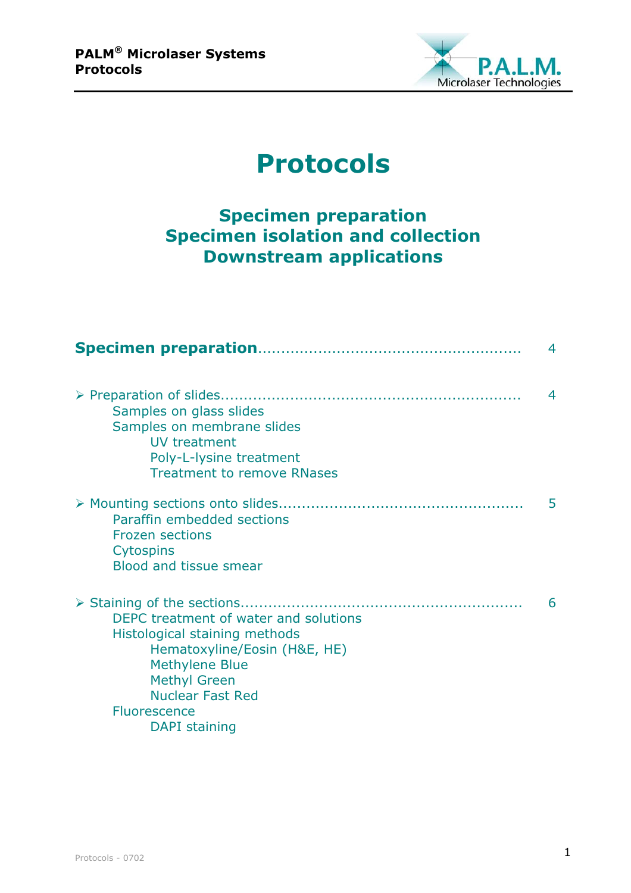

# **Protocols**

## **Specimen preparation Specimen isolation and collection Downstream applications**

|                                                                                                                                                                                                                           | $\overline{4}$ |
|---------------------------------------------------------------------------------------------------------------------------------------------------------------------------------------------------------------------------|----------------|
| Samples on glass slides<br>Samples on membrane slides<br>UV treatment<br>Poly-L-lysine treatment<br><b>Treatment to remove RNases</b>                                                                                     | $\overline{4}$ |
| Paraffin embedded sections<br><b>Frozen sections</b><br><b>Cytospins</b><br>Blood and tissue smear                                                                                                                        | 5              |
| DEPC treatment of water and solutions<br>Histological staining methods<br>Hematoxyline/Eosin (H&E, HE)<br><b>Methylene Blue</b><br><b>Methyl Green</b><br><b>Nuclear Fast Red</b><br><b>Fluorescence</b><br>DAPI staining | 6              |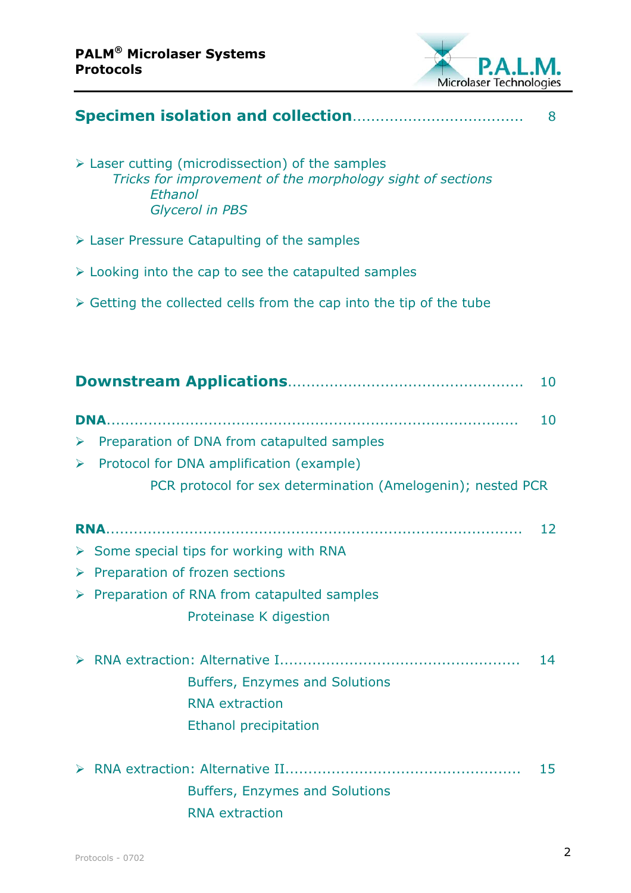

| 8          |                                                                                                                                                         |    |  |  |
|------------|---------------------------------------------------------------------------------------------------------------------------------------------------------|----|--|--|
| Ethanol    | $\triangleright$ Laser cutting (microdissection) of the samples<br>Tricks for improvement of the morphology sight of sections<br><b>Glycerol in PBS</b> |    |  |  |
|            | $\triangleright$ Laser Pressure Catapulting of the samples                                                                                              |    |  |  |
|            | $\triangleright$ Looking into the cap to see the catapulted samples                                                                                     |    |  |  |
|            | $\triangleright$ Getting the collected cells from the cap into the tip of the tube                                                                      |    |  |  |
|            |                                                                                                                                                         |    |  |  |
|            |                                                                                                                                                         | 10 |  |  |
|            |                                                                                                                                                         | 10 |  |  |
| ➤          | Preparation of DNA from catapulted samples                                                                                                              |    |  |  |
| ➤          | Protocol for DNA amplification (example)                                                                                                                |    |  |  |
|            | PCR protocol for sex determination (Amelogenin); nested PCR                                                                                             |    |  |  |
| <b>RNA</b> |                                                                                                                                                         | 12 |  |  |
|            | $\triangleright$ Some special tips for working with RNA                                                                                                 |    |  |  |
|            | $\triangleright$ Preparation of frozen sections                                                                                                         |    |  |  |
|            | > Preparation of RNA from catapulted samples                                                                                                            |    |  |  |
|            | Proteinase K digestion                                                                                                                                  |    |  |  |
|            |                                                                                                                                                         | 14 |  |  |
|            | <b>Buffers, Enzymes and Solutions</b>                                                                                                                   |    |  |  |
|            | <b>RNA</b> extraction                                                                                                                                   |    |  |  |
|            | <b>Ethanol precipitation</b>                                                                                                                            |    |  |  |
|            |                                                                                                                                                         | 15 |  |  |
|            | <b>Buffers, Enzymes and Solutions</b>                                                                                                                   |    |  |  |
|            | <b>RNA</b> extraction                                                                                                                                   |    |  |  |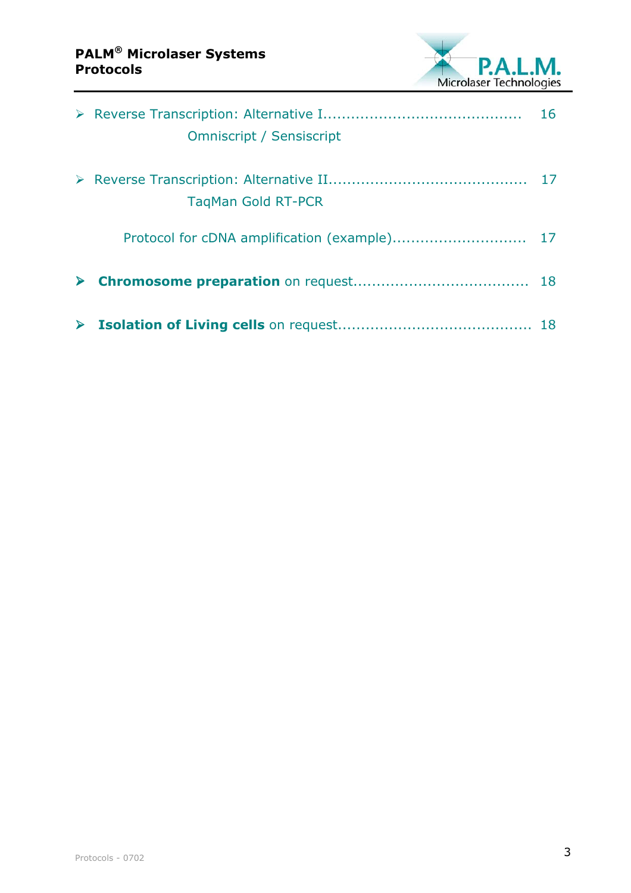

|                       |                                 | 16 |
|-----------------------|---------------------------------|----|
|                       | <b>Omniscript / Sensiscript</b> |    |
|                       | <b>TagMan Gold RT-PCR</b>       | 17 |
|                       |                                 |    |
|                       |                                 |    |
| $\blacktriangleright$ |                                 |    |
|                       |                                 |    |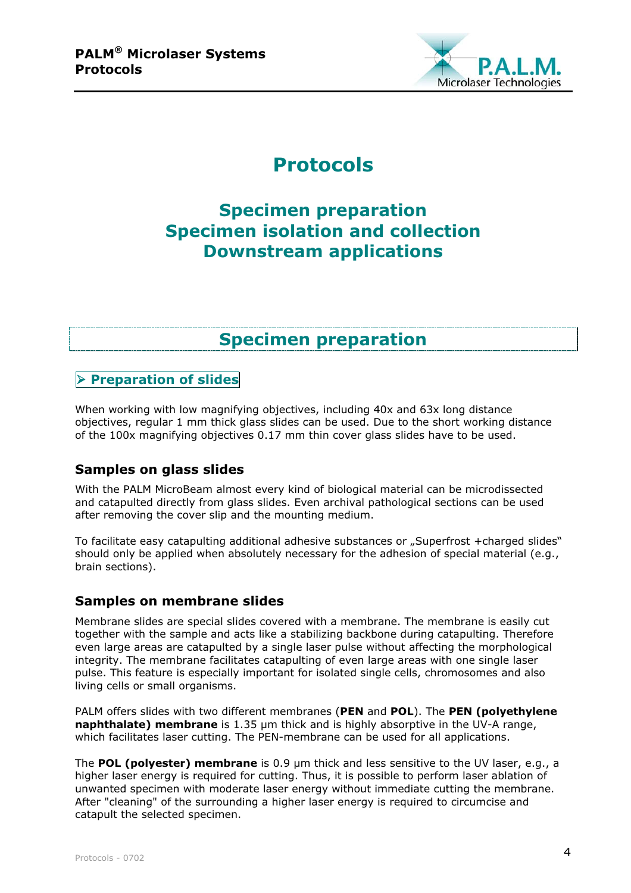

## **Protocols**

## **Specimen preparation Specimen isolation and collection Downstream applications**

## **Specimen preparation**

## **Preparation of slides**

When working with low magnifying objectives, including 40x and 63x long distance objectives, regular 1 mm thick glass slides can be used. Due to the short working distance of the 100x magnifying objectives 0.17 mm thin cover glass slides have to be used.

## **Samples on glass slides**

With the PALM MicroBeam almost every kind of biological material can be microdissected and catapulted directly from glass slides. Even archival pathological sections can be used after removing the cover slip and the mounting medium.

To facilitate easy catapulting additional adhesive substances or "Superfrost +charged slides" should only be applied when absolutely necessary for the adhesion of special material (e.g., brain sections).

## **Samples on membrane slides**

Membrane slides are special slides covered with a membrane. The membrane is easily cut together with the sample and acts like a stabilizing backbone during catapulting. Therefore even large areas are catapulted by a single laser pulse without affecting the morphological integrity. The membrane facilitates catapulting of even large areas with one single laser pulse. This feature is especially important for isolated single cells, chromosomes and also living cells or small organisms.

PALM offers slides with two different membranes (**PEN** and **POL**). The **PEN (polyethylene naphthalate) membrane** is 1.35 µm thick and is highly absorptive in the UV-A range, which facilitates laser cutting. The PEN-membrane can be used for all applications.

The **POL (polyester) membrane** is 0.9 µm thick and less sensitive to the UV laser, e.g., a higher laser energy is required for cutting. Thus, it is possible to perform laser ablation of unwanted specimen with moderate laser energy without immediate cutting the membrane. After "cleaning" of the surrounding a higher laser energy is required to circumcise and catapult the selected specimen.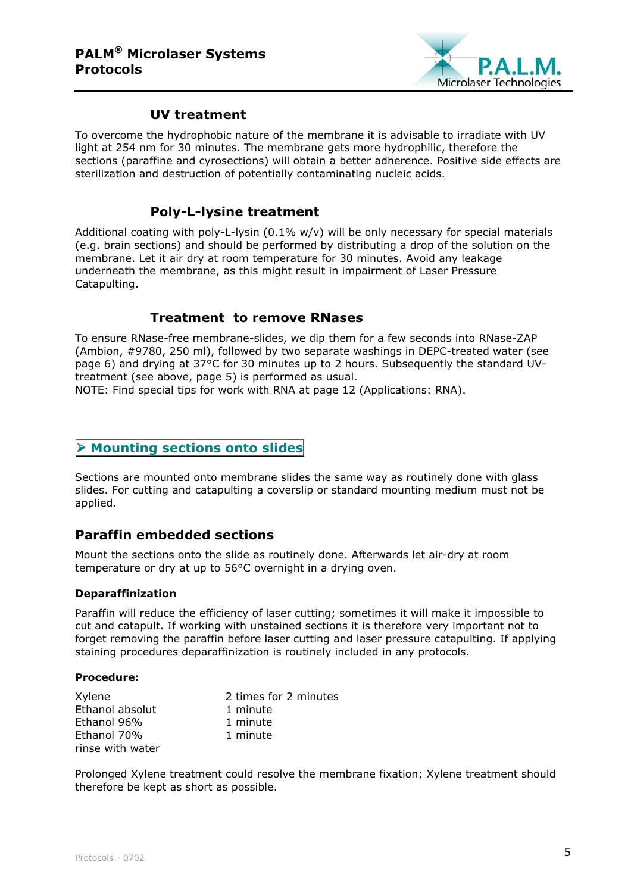

## **UV treatment**

To overcome the hydrophobic nature of the membrane it is advisable to irradiate with UV light at 254 nm for 30 minutes. The membrane gets more hydrophilic, therefore the sections (paraffine and cyrosections) will obtain a better adherence. Positive side effects are sterilization and destruction of potentially contaminating nucleic acids.

## **Poly-L-lysine treatment**

Additional coating with poly-L-lysin  $(0.1\%$  w/v) will be only necessary for special materials (e.g. brain sections) and should be performed by distributing a drop of the solution on the membrane. Let it air dry at room temperature for 30 minutes. Avoid any leakage underneath the membrane, as this might result in impairment of Laser Pressure Catapulting.

## **Treatment to remove RNases**

To ensure RNase-free membrane-slides, we dip them for a few seconds into RNase-ZAP (Ambion, #9780, 250 ml), followed by two separate washings in DEPC-treated water (see page 6) and drying at 37°C for 30 minutes up to 2 hours. Subsequently the standard UVtreatment (see above, page 5) is performed as usual.

NOTE: Find special tips for work with RNA at page 12 (Applications: RNA).

## **EXECUTE: Mounting sections onto slides**

Sections are mounted onto membrane slides the same way as routinely done with glass slides. For cutting and catapulting a coverslip or standard mounting medium must not be applied.

## **Paraffin embedded sections**

Mount the sections onto the slide as routinely done. Afterwards let air-dry at room temperature or dry at up to 56°C overnight in a drying oven.

#### **Deparaffinization**

Paraffin will reduce the efficiency of laser cutting; sometimes it will make it impossible to cut and catapult. If working with unstained sections it is therefore very important not to forget removing the paraffin before laser cutting and laser pressure catapulting. If applying staining procedures deparaffinization is routinely included in any protocols.

#### **Procedure:**

| Xylene           | 2 times for 2 minutes |
|------------------|-----------------------|
| Ethanol absolut  | 1 minute              |
| Ethanol 96%      | 1 minute              |
| Ethanol 70%      | 1 minute              |
| rinse with water |                       |

Prolonged Xylene treatment could resolve the membrane fixation; Xylene treatment should therefore be kept as short as possible.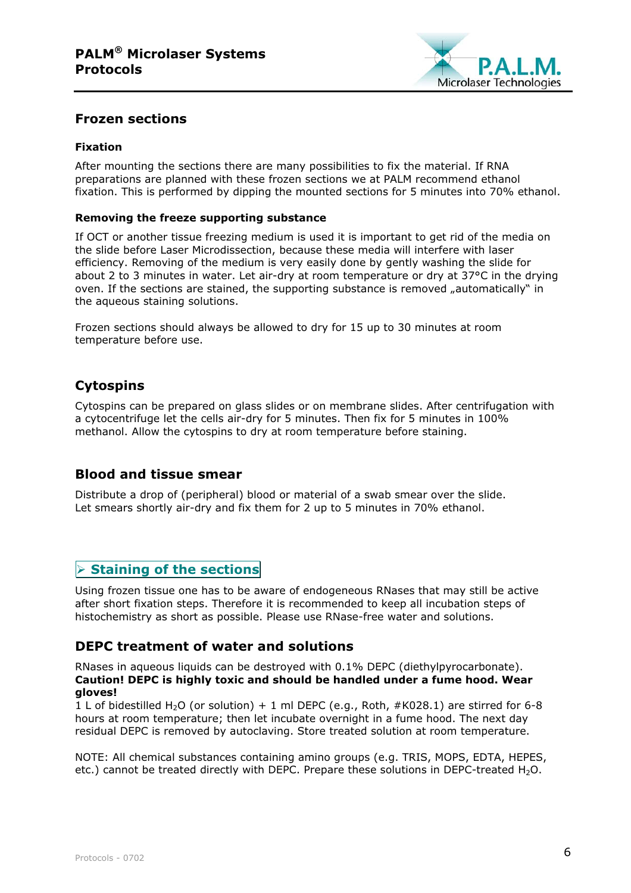

## **Frozen sections**

#### **Fixation**

After mounting the sections there are many possibilities to fix the material. If RNA preparations are planned with these frozen sections we at PALM recommend ethanol fixation. This is performed by dipping the mounted sections for 5 minutes into 70% ethanol.

#### **Removing the freeze supporting substance**

If OCT or another tissue freezing medium is used it is important to get rid of the media on the slide before Laser Microdissection, because these media will interfere with laser efficiency. Removing of the medium is very easily done by gently washing the slide for about 2 to 3 minutes in water. Let air-dry at room temperature or dry at 37°C in the drying oven. If the sections are stained, the supporting substance is removed "automatically" in the aqueous staining solutions.

Frozen sections should always be allowed to dry for 15 up to 30 minutes at room temperature before use.

## **Cytospins**

Cytospins can be prepared on glass slides or on membrane slides. After centrifugation with a cytocentrifuge let the cells air-dry for 5 minutes. Then fix for 5 minutes in 100% methanol. Allow the cytospins to dry at room temperature before staining.

## **Blood and tissue smear**

Distribute a drop of (peripheral) blood or material of a swab smear over the slide. Let smears shortly air-dry and fix them for 2 up to 5 minutes in 70% ethanol.

## **Staining of the sections**

Using frozen tissue one has to be aware of endogeneous RNases that may still be active after short fixation steps. Therefore it is recommended to keep all incubation steps of histochemistry as short as possible. Please use RNase-free water and solutions.

## **DEPC treatment of water and solutions**

RNases in aqueous liquids can be destroyed with 0.1% DEPC (diethylpyrocarbonate). **Caution! DEPC is highly toxic and should be handled under a fume hood. Wear gloves!**

1 L of bidestilled H<sub>2</sub>O (or solution) + 1 ml DEPC (e.g., Roth, #K028.1) are stirred for 6-8 hours at room temperature; then let incubate overnight in a fume hood. The next day residual DEPC is removed by autoclaving. Store treated solution at room temperature.

NOTE: All chemical substances containing amino groups (e.g. TRIS, MOPS, EDTA, HEPES, etc.) cannot be treated directly with DEPC. Prepare these solutions in DEPC-treated  $H_2O$ .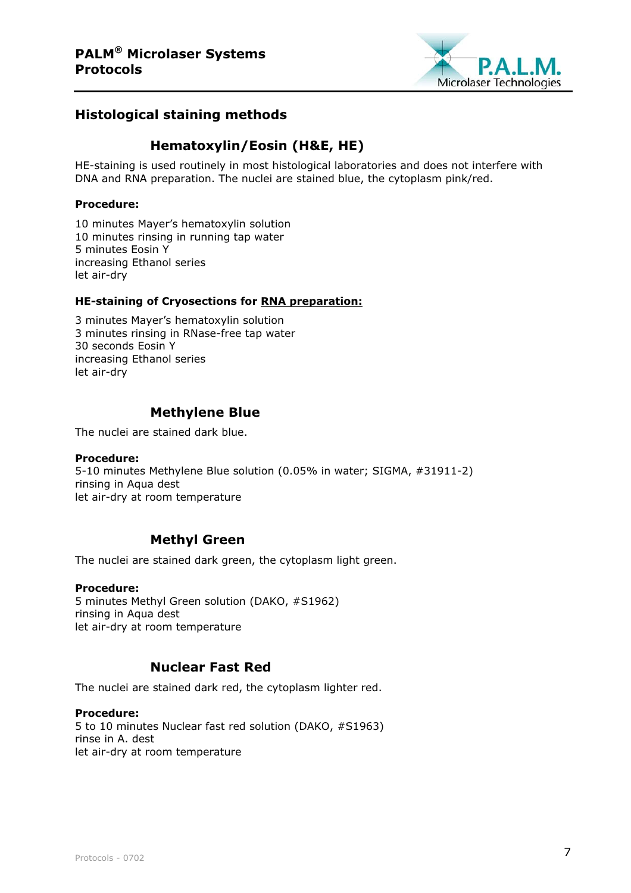

## **Histological staining methods**

## **Hematoxylin/Eosin (H&E, HE)**

HE-staining is used routinely in most histological laboratories and does not interfere with DNA and RNA preparation. The nuclei are stained blue, the cytoplasm pink/red.

#### **Procedure:**

10 minutes Mayer's hematoxylin solution 10 minutes rinsing in running tap water 5 minutes Eosin Y increasing Ethanol series let air-dry

#### **HE-staining of Cryosections for RNA preparation:**

3 minutes Mayer's hematoxylin solution 3 minutes rinsing in RNase-free tap water 30 seconds Eosin Y increasing Ethanol series let air-dry

## **Methylene Blue**

The nuclei are stained dark blue.

#### **Procedure:**

5-10 minutes Methylene Blue solution (0.05% in water; SIGMA, #31911-2) rinsing in Aqua dest let air-dry at room temperature

## **Methyl Green**

The nuclei are stained dark green, the cytoplasm light green.

#### **Procedure:**

5 minutes Methyl Green solution (DAKO, #S1962) rinsing in Aqua dest let air-dry at room temperature

## **Nuclear Fast Red**

The nuclei are stained dark red, the cytoplasm lighter red.

#### **Procedure:**

5 to 10 minutes Nuclear fast red solution (DAKO, #S1963) rinse in A. dest let air-dry at room temperature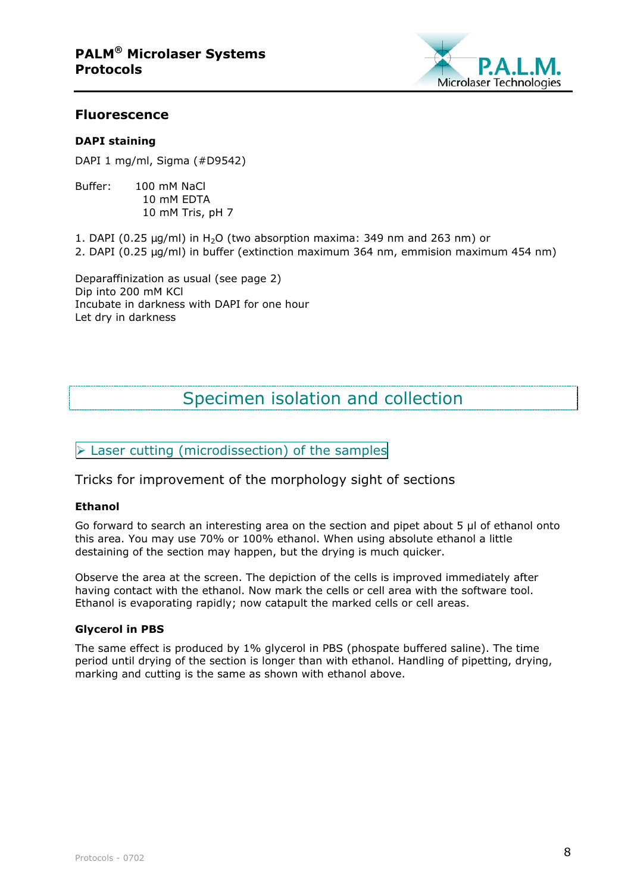

#### **Fluorescence**

#### **DAPI staining**

DAPI 1 mg/ml, Sigma (#D9542)

Buffer: 100 mM NaCl 10 mM EDTA 10 mM Tris, pH 7

1. DAPI (0.25  $\mu$ g/ml) in H<sub>2</sub>O (two absorption maxima: 349 nm and 263 nm) or 2. DAPI (0.25 µg/ml) in buffer (extinction maximum 364 nm, emmision maximum 454 nm)

Deparaffinization as usual (see page 2) Dip into 200 mM KCl Incubate in darkness with DAPI for one hour Let dry in darkness

## Specimen isolation and collection

## $\triangleright$  Laser cutting (microdissection) of the samples

Tricks for improvement of the morphology sight of sections

#### **Ethanol**

Go forward to search an interesting area on the section and pipet about 5 µl of ethanol onto this area. You may use 70% or 100% ethanol. When using absolute ethanol a little destaining of the section may happen, but the drying is much quicker.

Observe the area at the screen. The depiction of the cells is improved immediately after having contact with the ethanol. Now mark the cells or cell area with the software tool. Ethanol is evaporating rapidly; now catapult the marked cells or cell areas.

#### **Glycerol in PBS**

The same effect is produced by 1% glycerol in PBS (phospate buffered saline). The time period until drying of the section is longer than with ethanol. Handling of pipetting, drying, marking and cutting is the same as shown with ethanol above.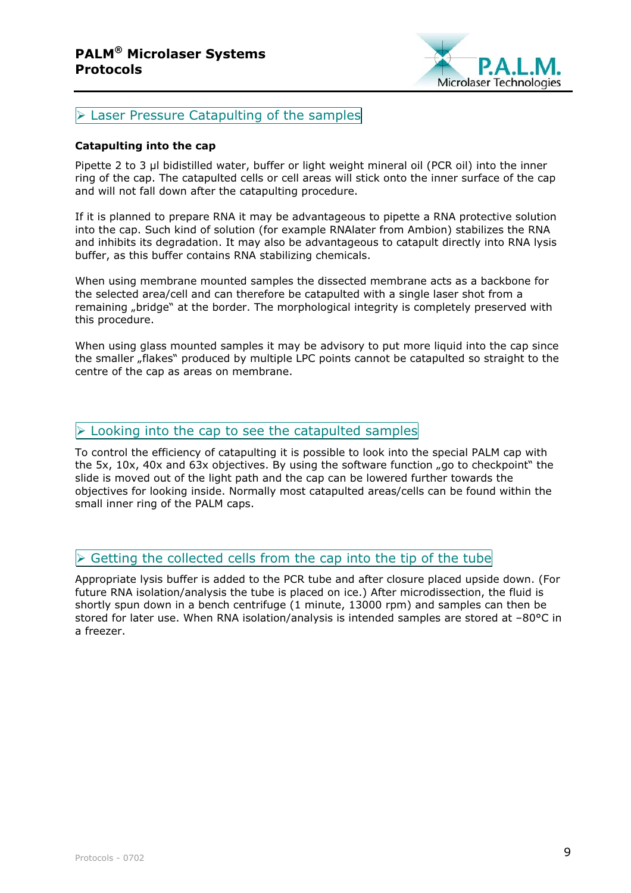

**Exager Pressure Catapulting of the samples** 

#### **Catapulting into the cap**

Pipette 2 to 3 µl bidistilled water, buffer or light weight mineral oil (PCR oil) into the inner ring of the cap. The catapulted cells or cell areas will stick onto the inner surface of the cap and will not fall down after the catapulting procedure.

If it is planned to prepare RNA it may be advantageous to pipette a RNA protective solution into the cap. Such kind of solution (for example RNAlater from Ambion) stabilizes the RNA and inhibits its degradation. It may also be advantageous to catapult directly into RNA lysis buffer, as this buffer contains RNA stabilizing chemicals.

When using membrane mounted samples the dissected membrane acts as a backbone for the selected area/cell and can therefore be catapulted with a single laser shot from a remaining "bridge" at the border. The morphological integrity is completely preserved with this procedure.

When using glass mounted samples it may be advisory to put more liquid into the cap since the smaller "flakes" produced by multiple LPC points cannot be catapulted so straight to the centre of the cap as areas on membrane.

## $\triangleright$  Looking into the cap to see the catapulted samples

To control the efficiency of catapulting it is possible to look into the special PALM cap with the 5x, 10x, 40x and 63x objectives. By using the software function  $n$ go to checkpoint" the slide is moved out of the light path and the cap can be lowered further towards the objectives for looking inside. Normally most catapulted areas/cells can be found within the small inner ring of the PALM caps.

## $\triangleright$  Getting the collected cells from the cap into the tip of the tube

Appropriate lysis buffer is added to the PCR tube and after closure placed upside down. (For future RNA isolation/analysis the tube is placed on ice.) After microdissection, the fluid is shortly spun down in a bench centrifuge (1 minute, 13000 rpm) and samples can then be stored for later use. When RNA isolation/analysis is intended samples are stored at –80°C in a freezer.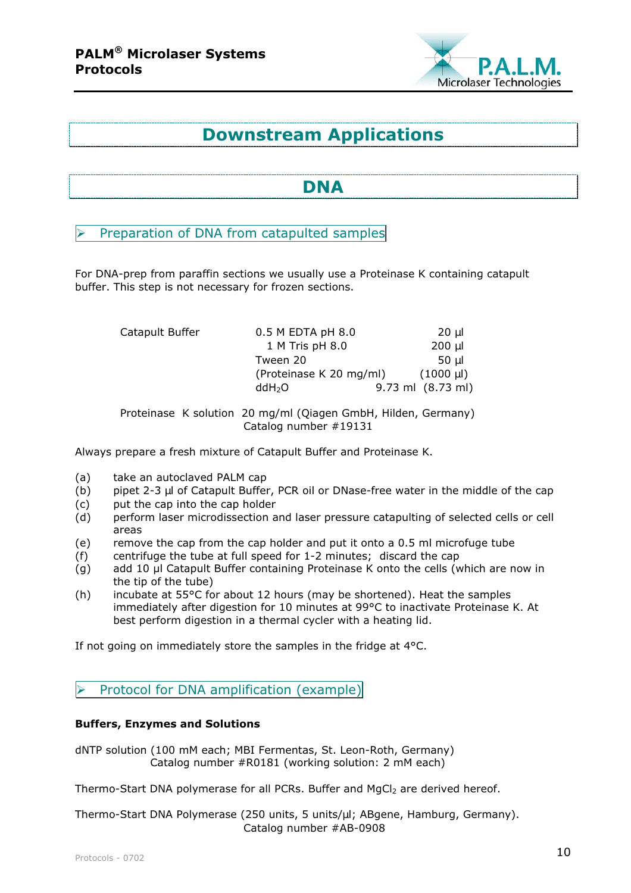

## **Downstream Applications**

## **DNA**

Preparation of DNA from catapulted samples

For DNA-prep from paraffin sections we usually use a Proteinase K containing catapult buffer. This step is not necessary for frozen sections.

| Catapult Buffer<br>$0.5$ M EDTA pH $8.0$ |                         | 20 µl               |
|------------------------------------------|-------------------------|---------------------|
|                                          | 1 M Tris pH 8.0         | $200 \mu$           |
|                                          | Tween 20                | 50 ul               |
|                                          | (Proteinase K 20 mg/ml) | $(1000 \text{ ul})$ |
|                                          | ddH <sub>2</sub> O      | 9.73 ml (8.73 ml)   |
|                                          |                         |                     |

Proteinase K solution 20 mg/ml (Qiagen GmbH, Hilden, Germany) Catalog number #19131

Always prepare a fresh mixture of Catapult Buffer and Proteinase K.

- (a) take an autoclaved PALM cap
- (b) pipet 2-3 µl of Catapult Buffer, PCR oil or DNase-free water in the middle of the cap
- (c) put the cap into the cap holder
- (d) perform laser microdissection and laser pressure catapulting of selected cells or cell areas
- (e) remove the cap from the cap holder and put it onto a 0.5 ml microfuge tube
- (f) centrifuge the tube at full speed for 1-2 minutes; discard the cap
- (g) add 10 µl Catapult Buffer containing Proteinase K onto the cells (which are now in the tip of the tube)
- (h) incubate at 55°C for about 12 hours (may be shortened). Heat the samples immediately after digestion for 10 minutes at 99°C to inactivate Proteinase K. At best perform digestion in a thermal cycler with a heating lid.

If not going on immediately store the samples in the fridge at 4°C.

## $\triangleright$  Protocol for DNA amplification (example)

#### **Buffers, Enzymes and Solutions**

dNTP solution (100 mM each; MBI Fermentas, St. Leon-Roth, Germany) Catalog number #R0181 (working solution: 2 mM each)

Thermo-Start DNA polymerase for all PCRs. Buffer and MgCl<sub>2</sub> are derived hereof.

Thermo-Start DNA Polymerase (250 units, 5 units/µl; ABgene, Hamburg, Germany). Catalog number #AB-0908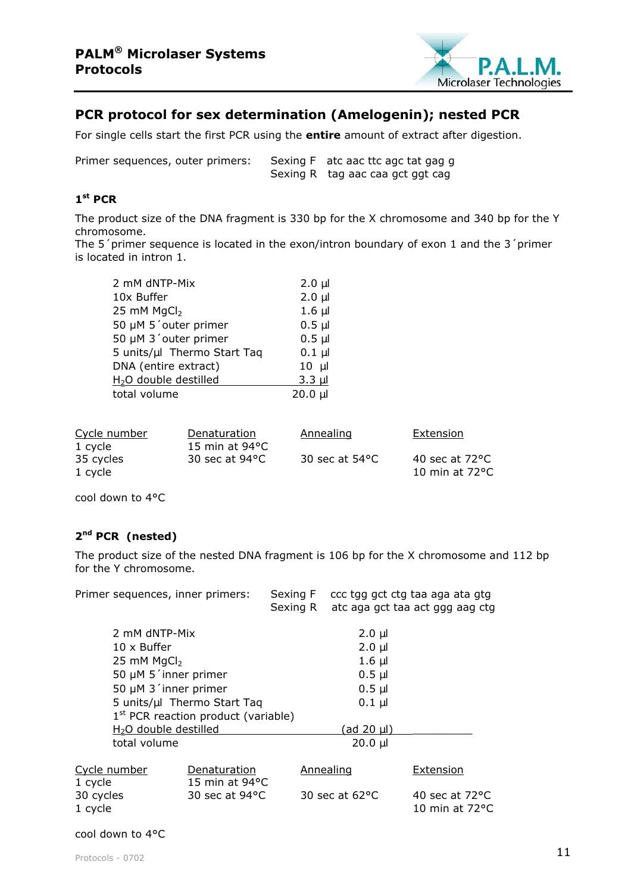

## **PCR protocol for sex determination (Amelogenin); nested PCR**

For single cells start the first PCR using the **entire** amount of extract after digestion.

Primer sequences, outer primers: Sexing F atc aac ttc agc tat gag g Sexing R tag aac caa gct ggt cag

## **1st PCR**

The product size of the DNA fragment is 330 bp for the X chromosome and 340 bp for the Y chromosome.

The 5'primer sequence is located in the exon/intron boundary of exon 1 and the 3'primer is located in intron 1.

| 2 mM dNTP-Mix                     | $2.0 \mu$   |
|-----------------------------------|-------------|
| 10x Buffer                        | $2.0 \mu$   |
| 25 mM MgCl <sub>2</sub>           | $1.6 \mu$   |
| 50 µM 5'outer primer              | $0.5$ $\mu$ |
| 50 µM 3'outer primer              | $0.5$ $\mu$ |
| 5 units/µl Thermo Start Taq       | $0.1$ µl    |
| DNA (entire extract)              | $10 \mu$    |
| H <sub>2</sub> O double destilled | $3.3 \mu$   |
| total volume                      | $20.0 \mu$  |

| Cycle number | Denaturation             | Annealing                | Extension                |
|--------------|--------------------------|--------------------------|--------------------------|
| 1 cycle      | 15 min at $94^{\circ}$ C |                          |                          |
| 35 cycles    | 30 sec at $94^{\circ}$ C | 30 sec at $54^{\circ}$ C | 40 sec at $72^{\circ}$ C |
| 1 cycle      |                          |                          | 10 min at $72^{\circ}$ C |

cool down to 4°C

## **2nd PCR (nested)**

The product size of the nested DNA fragment is 106 bp for the X chromosome and 112 bp for the Y chromosome.

| Primer sequences, inner primers:                                                                                          |                                          | Sexing F<br>Sexing R |                           | ccc tgg gct ctg taa aga ata gtg<br>atc aga gct taa act ggg aag ctg |  |
|---------------------------------------------------------------------------------------------------------------------------|------------------------------------------|----------------------|---------------------------|--------------------------------------------------------------------|--|
| 2 mM dNTP-Mix                                                                                                             |                                          |                      | $2.0 \mu$                 |                                                                    |  |
| $10 \times$ Buffer                                                                                                        |                                          |                      | $2.0 \mu$<br>$1.6$ $\mu$  |                                                                    |  |
| 25 mM MgCl <sub>2</sub>                                                                                                   |                                          |                      |                           |                                                                    |  |
| 50 µM 5 'inner primer                                                                                                     |                                          |                      | $0.5$ $\mu$               |                                                                    |  |
| 50 µM 3 'inner primer                                                                                                     |                                          |                      | $0.5 \mu$                 |                                                                    |  |
| 5 units/µl Thermo Start Taq<br>$1st$ PCR reaction product (variable)<br>H <sub>2</sub> O double destilled<br>total volume |                                          |                      | $0.1 \mu$                 |                                                                    |  |
|                                                                                                                           |                                          |                      |                           |                                                                    |  |
|                                                                                                                           |                                          |                      | <u>(ad 20 µl)</u>         |                                                                    |  |
|                                                                                                                           |                                          |                      | $20.0 \mu$                |                                                                    |  |
| Cycle number<br>1 cycle                                                                                                   | Denaturation<br>15 min at $94^{\circ}$ C |                      | Annealing                 | Extension                                                          |  |
| 30 cycles<br>1 cycle                                                                                                      | 30 sec at 94 °C                          |                      | $30 \text{ sec}$ at 62 °C | 40 sec at $72^{\circ}$ C<br>10 min at 72°C                         |  |

#### cool down to 4°C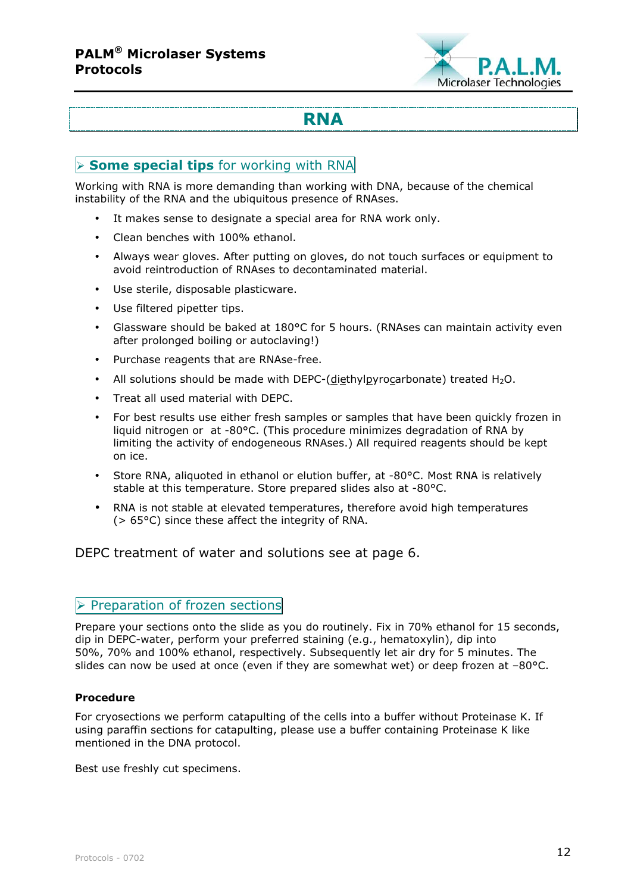

## **RNA**

## **Some special tips** for working with RNA

Working with RNA is more demanding than working with DNA, because of the chemical instability of the RNA and the ubiquitous presence of RNAses.

- It makes sense to designate a special area for RNA work only.
- Clean benches with 100% ethanol.
- Always wear gloves. After putting on gloves, do not touch surfaces or equipment to avoid reintroduction of RNAses to decontaminated material.
- Use sterile, disposable plasticware.
- Use filtered pipetter tips.
- Glassware should be baked at 180°C for 5 hours. (RNAses can maintain activity even after prolonged boiling or autoclaving!)
- Purchase reagents that are RNAse-free.
- All solutions should be made with DEPC-(diethylpyrocarbonate) treated  $H_2O$ .
- Treat all used material with DEPC.
- For best results use either fresh samples or samples that have been quickly frozen in liquid nitrogen or at -80°C. (This procedure minimizes degradation of RNA by limiting the activity of endogeneous RNAses.) All required reagents should be kept on ice.
- Store RNA, aliquoted in ethanol or elution buffer, at -80°C. Most RNA is relatively stable at this temperature. Store prepared slides also at -80°C.
- RNA is not stable at elevated temperatures, therefore avoid high temperatures (> 65°C) since these affect the integrity of RNA.

DEPC treatment of water and solutions see at page 6.

#### $\triangleright$  Preparation of frozen sections

Prepare your sections onto the slide as you do routinely. Fix in 70% ethanol for 15 seconds, dip in DEPC-water, perform your preferred staining (e.g., hematoxylin), dip into 50%, 70% and 100% ethanol, respectively. Subsequently let air dry for 5 minutes. The slides can now be used at once (even if they are somewhat wet) or deep frozen at -80°C.

#### **Procedure**

For cryosections we perform catapulting of the cells into a buffer without Proteinase K. If using paraffin sections for catapulting, please use a buffer containing Proteinase K like mentioned in the DNA protocol.

Best use freshly cut specimens.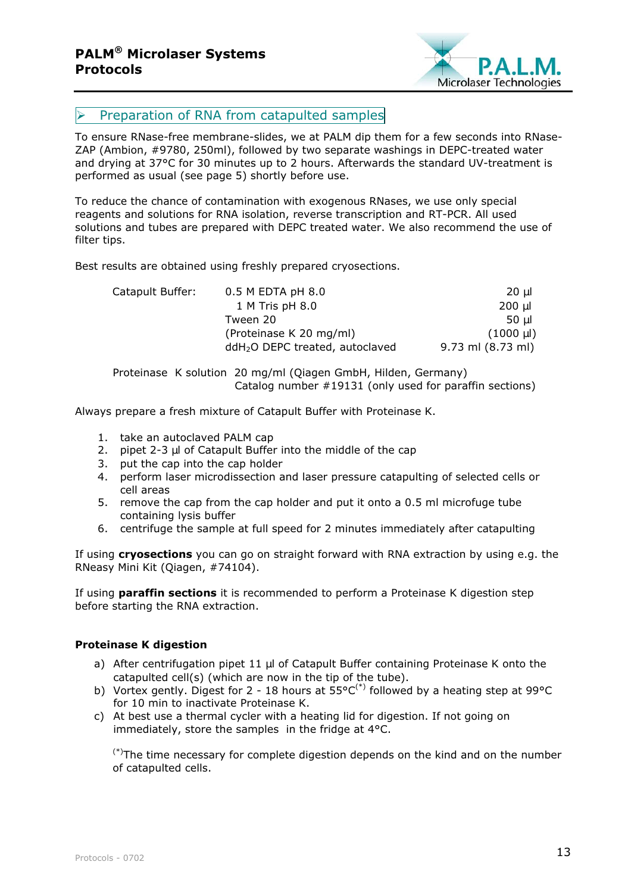

## $\triangleright$  Preparation of RNA from catapulted samples

To ensure RNase-free membrane-slides, we at PALM dip them for a few seconds into RNase-ZAP (Ambion, #9780, 250ml), followed by two separate washings in DEPC-treated water and drying at 37°C for 30 minutes up to 2 hours. Afterwards the standard UV-treatment is performed as usual (see page 5) shortly before use.

To reduce the chance of contamination with exogenous RNases, we use only special reagents and solutions for RNA isolation, reverse transcription and RT-PCR. All used solutions and tubes are prepared with DEPC treated water. We also recommend the use of filter tips.

Best results are obtained using freshly prepared cryosections.

| Catapult Buffer: | $0.5$ M EDTA pH $8.0$                       | 20 ul             |
|------------------|---------------------------------------------|-------------------|
|                  | 1 M Tris pH 8.0                             | 200 µl            |
|                  | Tween 20                                    | 50 ul             |
|                  | (Proteinase K 20 mg/ml)                     | $(1000 \mu l)$    |
|                  | ddH <sub>2</sub> O DEPC treated, autoclaved | 9.73 ml (8.73 ml) |

Proteinase K solution 20 mg/ml (Qiagen GmbH, Hilden, Germany) Catalog number #19131 (only used for paraffin sections)

Always prepare a fresh mixture of Catapult Buffer with Proteinase K.

- 1. take an autoclaved PALM cap
- 2. pipet  $2-3$   $\mu$  of Catapult Buffer into the middle of the cap
- 3. put the cap into the cap holder
- 4. perform laser microdissection and laser pressure catapulting of selected cells or cell areas
- 5. remove the cap from the cap holder and put it onto a 0.5 ml microfuge tube containing lysis buffer
- 6. centrifuge the sample at full speed for 2 minutes immediately after catapulting

If using **cryosections** you can go on straight forward with RNA extraction by using e.g. the RNeasy Mini Kit (Qiagen, #74104).

If using **paraffin sections** it is recommended to perform a Proteinase K digestion step before starting the RNA extraction.

#### **Proteinase K digestion**

- a) After centrifugation pipet 11 µl of Catapult Buffer containing Proteinase K onto the catapulted cell(s) (which are now in the tip of the tube).
- b) Vortex gently. Digest for 2 18 hours at  $55^{\circ}C^{(*)}$  followed by a heating step at 99°C for 10 min to inactivate Proteinase K.
- c) At best use a thermal cycler with a heating lid for digestion. If not going on immediately, store the samples in the fridge at 4°C.

 $(*)$ The time necessary for complete digestion depends on the kind and on the number of catapulted cells.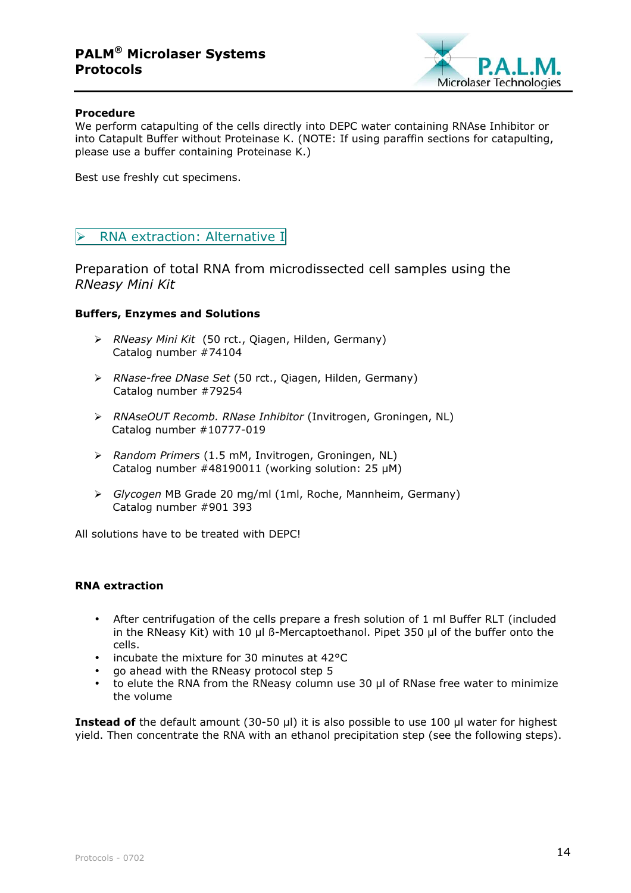## **PALM® Microlaser Systems Protocols**



#### **Procedure**

We perform catapulting of the cells directly into DEPC water containing RNAse Inhibitor or into Catapult Buffer without Proteinase K. (NOTE: If using paraffin sections for catapulting, please use a buffer containing Proteinase K.)

Best use freshly cut specimens.

#### > RNA extraction: Alternative I

Preparation of total RNA from microdissected cell samples using the *RNeasy Mini Kit*

#### **Buffers, Enzymes and Solutions**

- *RNeasy Mini Kit* (50 rct., Qiagen, Hilden, Germany) Catalog number #74104
- *RNase-free DNase Set* (50 rct., Qiagen, Hilden, Germany) Catalog number #79254
- *RNAseOUT Recomb. RNase Inhibitor* (Invitrogen, Groningen, NL) Catalog number #10777-019
- *Random Primers* (1.5 mM, Invitrogen, Groningen, NL) Catalog number  $\#48190011$  (working solution: 25  $\mu$ M)
- *Glycogen* MB Grade 20 mg/ml (1ml, Roche, Mannheim, Germany) Catalog number #901 393

All solutions have to be treated with DEPC!

#### **RNA extraction**

- After centrifugation of the cells prepare a fresh solution of 1 ml Buffer RLT (included in the RNeasy Kit) with 10 µl ß-Mercaptoethanol. Pipet 350 µl of the buffer onto the cells.
- incubate the mixture for 30 minutes at 42°C
- go ahead with the RNeasy protocol step 5
- to elute the RNA from the RNeasy column use 30 µl of RNase free water to minimize the volume

**Instead of** the default amount (30-50 µl) it is also possible to use 100 µl water for highest yield. Then concentrate the RNA with an ethanol precipitation step (see the following steps).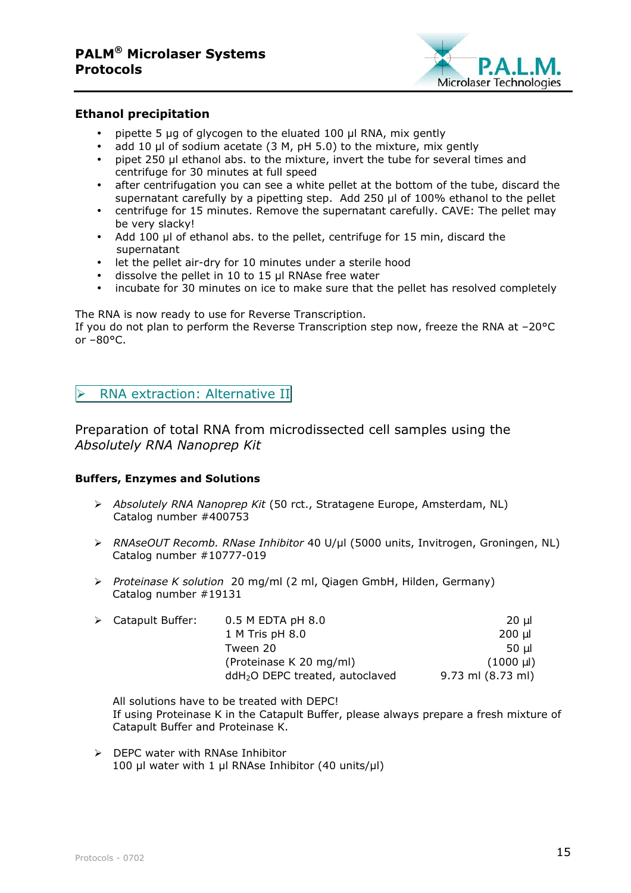

#### **Ethanol precipitation**

- pipette 5 µg of glycogen to the eluated 100 µl RNA, mix gently
- add 10 µl of sodium acetate (3 M, pH 5.0) to the mixture, mix gently
- pipet 250 ul ethanol abs, to the mixture, invert the tube for several times and centrifuge for 30 minutes at full speed
- after centrifugation you can see a white pellet at the bottom of the tube, discard the supernatant carefully by a pipetting step. Add 250 µl of 100% ethanol to the pellet
- centrifuge for 15 minutes. Remove the supernatant carefully. CAVE: The pellet may be very slacky!
- Add 100 µl of ethanol abs. to the pellet, centrifuge for 15 min, discard the supernatant
- let the pellet air-dry for 10 minutes under a sterile hood
- dissolve the pellet in 10 to 15 µl RNAse free water
- incubate for 30 minutes on ice to make sure that the pellet has resolved completely

The RNA is now ready to use for Reverse Transcription.

If you do not plan to perform the Reverse Transcription step now, freeze the RNA at –20°C or  $-80^{\circ}$ C.

RNA extraction: Alternative II

Preparation of total RNA from microdissected cell samples using the *Absolutely RNA Nanoprep Kit*

#### **Buffers, Enzymes and Solutions**

- *Absolutely RNA Nanoprep Kit* (50 rct., Stratagene Europe, Amsterdam, NL) Catalog number #400753
- *RNAseOUT Recomb. RNase Inhibitor* 40 U/µl (5000 units, Invitrogen, Groningen, NL) Catalog number #10777-019
- *Proteinase K solution* 20 mg/ml (2 ml, Qiagen GmbH, Hilden, Germany) Catalog number #19131

| $\triangleright$ Catapult Buffer: | $0.5$ M EDTA pH $8.0$                       | 20 ul                   |
|-----------------------------------|---------------------------------------------|-------------------------|
|                                   | 1 M Tris pH 8.0                             | 200 µl                  |
|                                   | Tween 20                                    | 50 ul                   |
|                                   | (Proteinase K 20 mg/ml)                     | $(1000 \,\mathrm{\mu})$ |
|                                   | ddH <sub>2</sub> O DEPC treated, autoclaved | 9.73 ml (8.73 ml)       |

All solutions have to be treated with DEPC! If using Proteinase K in the Catapult Buffer, please always prepare a fresh mixture of Catapult Buffer and Proteinase K.

 $\triangleright$  DEPC water with RNAse Inhibitor 100 µl water with 1 µl RNAse Inhibitor (40 units/µl)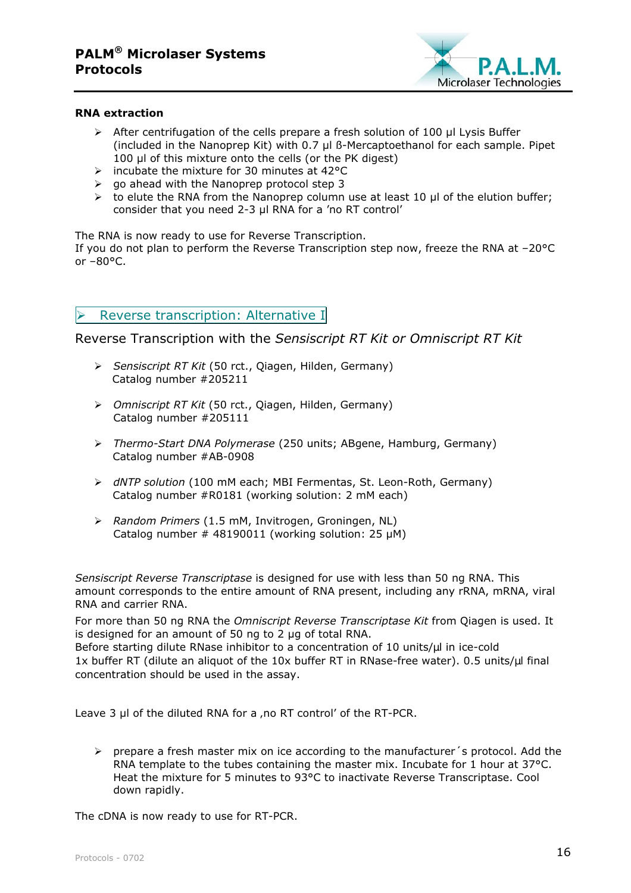

#### **RNA extraction**

- After centrifugation of the cells prepare a fresh solution of 100 µl Lysis Buffer (included in the Nanoprep Kit) with 0.7 µl ß-Mercaptoethanol for each sample. Pipet 100 ul of this mixture onto the cells (or the PK digest)
- $\triangleright$  incubate the mixture for 30 minutes at 42°C
- $\triangleright$  go ahead with the Nanoprep protocol step 3
- $\triangleright$  to elute the RNA from the Nanoprep column use at least 10 µl of the elution buffer; consider that you need 2-3 µl RNA for a 'no RT control'

The RNA is now ready to use for Reverse Transcription.

If you do not plan to perform the Reverse Transcription step now, freeze the RNA at –20°C or  $-80^{\circ}$ C.

#### Reverse transcription: Alternative I

Reverse Transcription with the *Sensiscript RT Kit or Omniscript RT Kit*

- *Sensiscript RT Kit* (50 rct., Qiagen, Hilden, Germany) Catalog number #205211
- *Omniscript RT Kit* (50 rct., Qiagen, Hilden, Germany) Catalog number #205111
- *Thermo-Start DNA Polymerase* (250 units; ABgene, Hamburg, Germany) Catalog number #AB-0908
- *dNTP solution* (100 mM each; MBI Fermentas, St. Leon-Roth, Germany) Catalog number #R0181 (working solution: 2 mM each)
- *Random Primers* (1.5 mM, Invitrogen, Groningen, NL) Catalog number # 48190011 (working solution: 25 uM)

*Sensiscript Reverse Transcriptase* is designed for use with less than 50 ng RNA. This amount corresponds to the entire amount of RNA present, including any rRNA, mRNA, viral RNA and carrier RNA.

For more than 50 ng RNA the *Omniscript Reverse Transcriptase Kit* from Qiagen is used. It is designed for an amount of 50 ng to 2 µg of total RNA.

Before starting dilute RNase inhibitor to a concentration of 10 units/µl in ice-cold 1x buffer RT (dilute an aliquot of the 10x buffer RT in RNase-free water). 0.5 units/µl final concentration should be used in the assay.

Leave 3 µl of the diluted RNA for a , no RT control' of the RT-PCR.

 $\triangleright$  prepare a fresh master mix on ice according to the manufacturer's protocol. Add the RNA template to the tubes containing the master mix. Incubate for 1 hour at 37°C. Heat the mixture for 5 minutes to 93°C to inactivate Reverse Transcriptase. Cool down rapidly.

The cDNA is now ready to use for RT-PCR.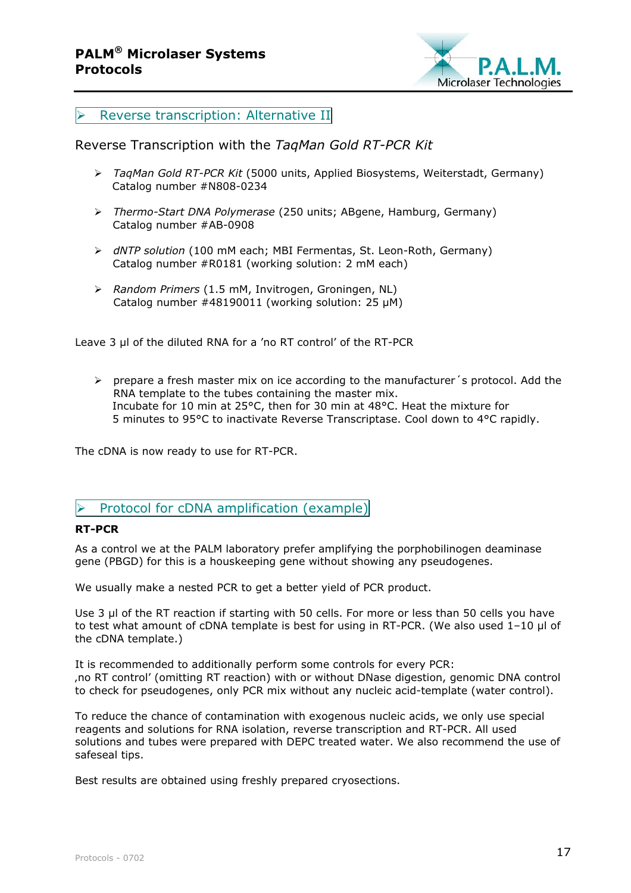

#### $\triangleright$  Reverse transcription: Alternative II

### Reverse Transcription with the *TaqMan Gold RT-PCR Kit*

- *TaqMan Gold RT-PCR Kit* (5000 units, Applied Biosystems, Weiterstadt, Germany) Catalog number #N808-0234
- *Thermo-Start DNA Polymerase* (250 units; ABgene, Hamburg, Germany) Catalog number #AB-0908
- *dNTP solution* (100 mM each; MBI Fermentas, St. Leon-Roth, Germany) Catalog number #R0181 (working solution: 2 mM each)
- *Random Primers* (1.5 mM, Invitrogen, Groningen, NL) Catalog number #48190011 (working solution: 25 µM)

Leave 3 µl of the diluted RNA for a 'no RT control' of the RT-PCR

 $\triangleright$  prepare a fresh master mix on ice according to the manufacturer's protocol. Add the RNA template to the tubes containing the master mix. Incubate for 10 min at 25°C, then for 30 min at 48°C. Heat the mixture for 5 minutes to 95°C to inactivate Reverse Transcriptase. Cool down to 4°C rapidly.

The cDNA is now ready to use for RT-PCR.

#### $\triangleright$  Protocol for cDNA amplification (example)

#### **RT-PCR**

As a control we at the PALM laboratory prefer amplifying the porphobilinogen deaminase gene (PBGD) for this is a houskeeping gene without showing any pseudogenes.

We usually make a nested PCR to get a better yield of PCR product.

Use 3 µl of the RT reaction if starting with 50 cells. For more or less than 50 cells you have to test what amount of cDNA template is best for using in RT-PCR. (We also used 1-10 µl of the cDNA template.)

It is recommended to additionally perform some controls for every PCR: 'no RT control' (omitting RT reaction) with or without DNase digestion, genomic DNA control to check for pseudogenes, only PCR mix without any nucleic acid-template (water control).

To reduce the chance of contamination with exogenous nucleic acids, we only use special reagents and solutions for RNA isolation, reverse transcription and RT-PCR. All used solutions and tubes were prepared with DEPC treated water. We also recommend the use of safeseal tips.

Best results are obtained using freshly prepared cryosections.